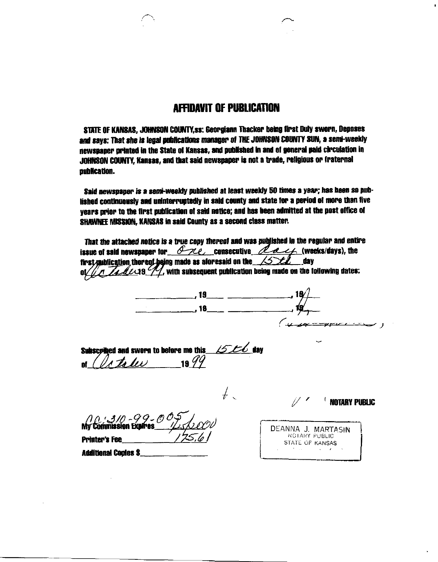# **AFFIDAVIT OF PUBLICATION**

 $\blacksquare$ 

STATE OF KANSAS, JOHNSON COUNTY, ss: Georgiann Thacker being first Duly sworn, Deposes and says: That she is legal publications manager of THE JOHNSON COUNTY SUN, a semi-weekly newspaper printed in the State of Kansas, and published in and of general paid circulation in JOHNSON COUNTY, Kansas, and that said newspaper is not a trade, religious or fraternal publication.

Said newspaper is a semi-weekly published at least weekly 50 times a year; has been so published continuously and uninterruptedly in said county and state for a period of more than five vears prior to the first publication of said notice; and has been admitted at the post office of SHAWNEE MISSION, KANSAS in said County as a second class matter.

| That the attached notics is a true copy thereof and was published in the regular and entire<br>issue of said newspaper for $\partial \mathcal{H}$ consecutive $\mathcal{L}$ decks/days), the<br>first multication thereof being made as aforesaid on the $\angle$<br>$\frac{7}{\sqrt{42}}$ (19 $\frac{7}{\sqrt{2}}$ , with subsequent publication being made on the following dates: |                                  |
|--------------------------------------------------------------------------------------------------------------------------------------------------------------------------------------------------------------------------------------------------------------------------------------------------------------------------------------------------------------------------------------|----------------------------------|
| , 19 $\sim$ $\sim$ $\sim$ $\sim$ $\sim$ $\sim$                                                                                                                                                                                                                                                                                                                                       |                                  |
| , 18_____ __________                                                                                                                                                                                                                                                                                                                                                                 |                                  |
|                                                                                                                                                                                                                                                                                                                                                                                      |                                  |
| LS LC day<br>Subscpiled and sworn to before me this<br>To tode<br>19 $\frac{6}{7}$                                                                                                                                                                                                                                                                                                   |                                  |
|                                                                                                                                                                                                                                                                                                                                                                                      | <b>INOTARY PUBLIC</b>            |
|                                                                                                                                                                                                                                                                                                                                                                                      | DEANNA J. MARTASIN               |
| <b>Printer's Fee</b>                                                                                                                                                                                                                                                                                                                                                                 | NOTARY PUBLIC<br>STATE OF KANSAS |
| <b>Additional Copies \$_</b>                                                                                                                                                                                                                                                                                                                                                         | <b>Contact Contact</b>           |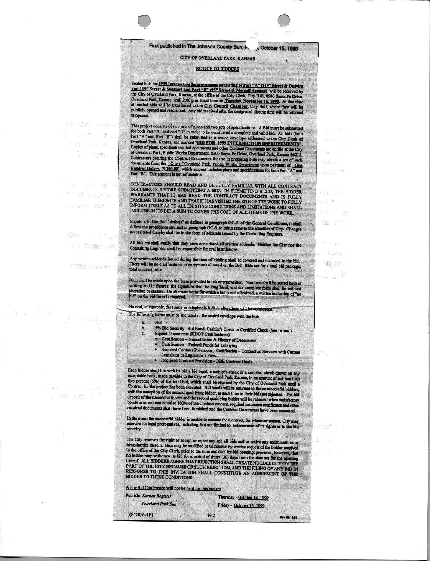### First published in The Johnson County Sun, F.

### CITY OF OVERLAND PARK, KANSAS

#### **NOTICE TO BIDDERS**

, October 15, 1999

 $101.3$ .<br>Breithin Albert

la o h

 $\mathbb{R}^n$  , and  $\mathbb{R}^n$ 

 $\mathbb{S}$  ,  $\mathbb{P}^m$ 

P H WHE

**. "病"。** (189)

一位

and the last of

Rev. 09/13/95

Sealed bids for 1999 Intersection Improvements consisting of Part "A" (119" Street & Outvira<br>and 119<sup>th</sup> Street & Switzer) and Part "B" (95<sup>th</sup> Street & Metcalf Avenue) will be received by<br>the City of Overland Park, Kansa the City of Oretain Fax, Kansas, at the Ohioe of the City Ciera, City Hall, about Saint Fe Dirve,<br>Overland Park, Kansas, until 2:00 p.m. local time on **Tuesday. November 16, 1999**. At that time<br>all scaled bids will be tran unonened.

This project consists of two sets of plans and two sets of specifications. A Bid must be submitted<br>for both Part "A" and Part "B" in order to be considered a complete and valid bid. All bids (both<br>Part "A" and Part "B") s Part "B". This amount is not refundable.

CONTRACTORS SHOULD READ AND BE FULLY FAMILIAR WITH ALL CONTRACT DOCUMENTS BEFORE SUBMITING A BID. IN SUBMITING A BID, THE BIDDER WARRANTS THAT IT HAS READ THE CONTRACT DOCUMENTS AND IS FULLY FAMILIAR THEREWITH AND THAT IT INFORM ITSELF AS TO ALL EXISTING CONDITIONS AND LIMITATIONS AND SHALL INCLUDE IN ITS BID A SUM TO COVER THE COST OF ALL ITEMS OF THE WORK.

Should a bidder find "defects" as defined in paragraph GC-2. of the General Conditions, it shall selection of City. Changes follow the protectures outlined in paragraph GC-3. to bring same to the attention of City. Changes

All bidders shall verify that they have considered all written addenda. Neither the City nor the

Any written addenda issued during the time of bidding shall be covered and included in the bid.<br>There will be no clarifications or exceptions allowed on the Bid. Bids are for a total bid package, total contract price.

Pids shall be made upon the form provided in ink or typewritten. Numbers shall be stated both in<br>writing and in figures; the signature shall be long hand; and the complete form shall be without<br>alteration or erasure. On al bid" on the bid form is required.

No oral, telegraphic, facsimile or telephonic bids or alterations will be cons

The following items must be included in the sealed envelope with the bid:

**Bid**  $a.$ 

"谢谢" "演唱话! 学 日美 以 See a str ਾਂ ਭਾਰੀ ਸਾਂ

that a rual la

503 代/數) 5%

Y TAN ENGLAND

240 期限的人

s Chairs Wart

- 5% Bid Security--Bid Bond, Cashier's Check or Certified Check (See below.) b.
	-
	-
	-
	- 3% Bid Security--Bid Bond, Cashier's Check or Certified Check (See below.)<br>
	Signed Documents (KDOT Certifications)<br>
	 Certification Noncollusion & History of Debarment<br>
	 Certification Federal Funds for Lobbying<br>
	 Req
		-

Each bidder shall file with its bid a bid bond, a cashier's check or a certified check drawn on any Each bidder shall file with its bid a bid bond, a cashier's check or a certified check drawn on any acceptable bank, made payable to the City of Overland Park, Kansas, in an amount of not less than five percent  $(S\%)$  of t

In the event the successful bidder is unable to execute the Contract, for whatever reason, City may exercise its legal prerogatives, including, but not limited to, enforcement of its rights as to the bid security.

The City reserves the right to accept or reject any and all bids and to waive any technicalities or<br>irregularities therein. Bids may be modified or withdrawn by written request of the bidder received<br>in the office of the C RESPONSE TO THIS INVITATION SHALL CONSTITUTE AN AGREEMENT OF THE BIDDER TO THESE CONDITIONS.

 $N-2$ 

A Pre-Bid Conference will not be held for this project

Publish: Kansas Register

 $(21307 - 1)$ 

**Overland Park Sun** 

Thursday - October 14, 1999 Friday - October 15, 1999